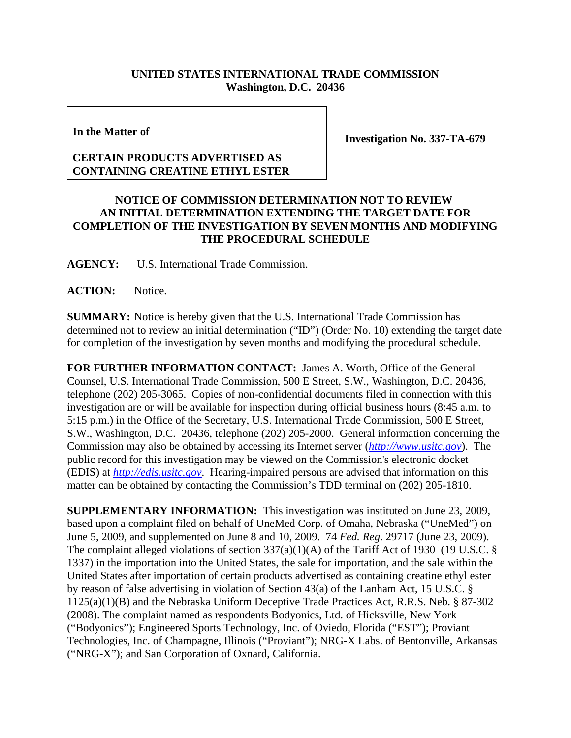## **UNITED STATES INTERNATIONAL TRADE COMMISSION Washington, D.C. 20436**

**In the Matter of**

## **CERTAIN PRODUCTS ADVERTISED AS CONTAINING CREATINE ETHYL ESTER**

**Investigation No. 337-TA-679**

## **NOTICE OF COMMISSION DETERMINATION NOT TO REVIEW AN INITIAL DETERMINATION EXTENDING THE TARGET DATE FOR COMPLETION OF THE INVESTIGATION BY SEVEN MONTHS AND MODIFYING THE PROCEDURAL SCHEDULE**

**AGENCY:** U.S. International Trade Commission.

**ACTION:** Notice.

**SUMMARY:** Notice is hereby given that the U.S. International Trade Commission has determined not to review an initial determination ("ID") (Order No. 10) extending the target date for completion of the investigation by seven months and modifying the procedural schedule.

**FOR FURTHER INFORMATION CONTACT:** James A. Worth, Office of the General Counsel, U.S. International Trade Commission, 500 E Street, S.W., Washington, D.C. 20436, telephone (202) 205-3065. Copies of non-confidential documents filed in connection with this investigation are or will be available for inspection during official business hours (8:45 a.m. to 5:15 p.m.) in the Office of the Secretary, U.S. International Trade Commission, 500 E Street, S.W., Washington, D.C. 20436, telephone (202) 205-2000. General information concerning the Commission may also be obtained by accessing its Internet server (*http://www.usitc.gov*). The public record for this investigation may be viewed on the Commission's electronic docket (EDIS) at *http://edis.usitc.gov*. Hearing-impaired persons are advised that information on this matter can be obtained by contacting the Commission's TDD terminal on (202) 205-1810.

**SUPPLEMENTARY INFORMATION:** This investigation was instituted on June 23, 2009, based upon a complaint filed on behalf of UneMed Corp. of Omaha, Nebraska ("UneMed") on June 5, 2009, and supplemented on June 8 and 10, 2009. 74 *Fed. Reg*. 29717 (June 23, 2009). The complaint alleged violations of section 337(a)(1)(A) of the Tariff Act of 1930 (19 U.S.C. § 1337) in the importation into the United States, the sale for importation, and the sale within the United States after importation of certain products advertised as containing creatine ethyl ester by reason of false advertising in violation of Section 43(a) of the Lanham Act, 15 U.S.C. § 1125(a)(1)(B) and the Nebraska Uniform Deceptive Trade Practices Act, R.R.S. Neb. § 87-302 (2008). The complaint named as respondents Bodyonics, Ltd. of Hicksville, New York ("Bodyonics"); Engineered Sports Technology, Inc. of Oviedo, Florida ("EST"); Proviant Technologies, Inc. of Champagne, Illinois ("Proviant"); NRG-X Labs. of Bentonville, Arkansas ("NRG-X"); and San Corporation of Oxnard, California.